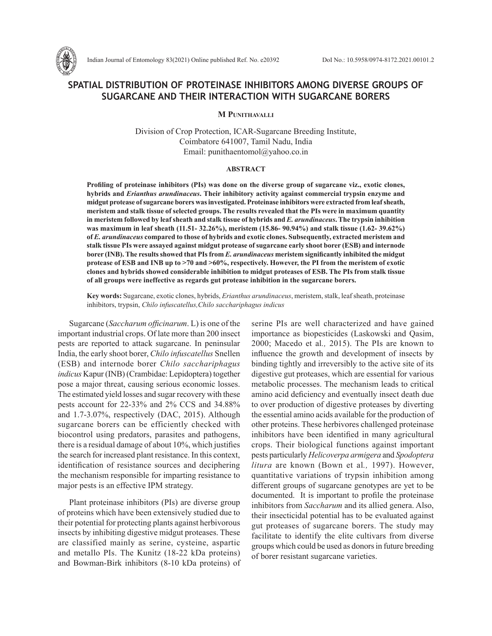

# **SPATIAL DISTRIBUTION OF PROTEINASE INHIBITORS AMONG DIVERSE GROUPS OF SUGARCANE AND THEIR INTERACTION WITH SUGARCANE BORERS**

**M Punithavalli**

Division of Crop Protection, ICAR-Sugarcane Breeding Institute, Coimbatore 641007, Tamil Nadu, India Email: punithaentomol@yahoo.co.in

#### **ABSTRACT**

**Profiling of proteinase inhibitors (PIs) was done on the diverse group of sugarcane viz., exotic clones, hybrids and** *Erianthus arundinaceus***. Their inhibitory activity against commercial trypsin enzyme and midgut protease of sugarcane borers was investigated. Proteinase inhibitors were extracted from leaf sheath, meristem and stalk tissue of selected groups. The results revealed that the PIs were in maximum quantity in meristem followed by leaf sheath and stalk tissue of hybrids and** *E. arundinaceus***. The trypsin inhibition was maximum in leaf sheath (11.51- 32.26%), meristem (15.86- 90.94%) and stalk tissue (1.62- 39.62%) of** *E. arundinaceus* **compared to those of hybrids and exotic clones. Subsequently, extracted meristem and stalk tissue PIs were assayed against midgut protease of sugarcane early shoot borer (ESB) and internode borer (INB). The results showed that PIs from** *E. arundinaceus* **meristem significantly inhibited the midgut protease of ESB and INB up to >70 and >60%, respectively. However, the PI from the meristem of exotic clones and hybrids showed considerable inhibition to midgut proteases of ESB. The PIs from stalk tissue of all groups were ineffective as regards gut protease inhibition in the sugarcane borers.** 

**Key words:** Sugarcane, exotic clones, hybrids, *Erianthus arundinaceus*, meristem, stalk, leaf sheath, proteinase inhibitors, trypsin, *Chilo infuscatellus,Chilo sacchariphagus indicus* 

Sugarcane (*Saccharum officinarum*. L) is one of the important industrial crops. Of late more than 200 insect pests are reported to attack sugarcane. In peninsular India, the early shoot borer, *Chilo infuscatellus* Snellen (ESB) and internode borer *Chilo sacchariphagus indicus* Kapur (INB) (Crambidae: Lepidoptera) together pose a major threat, causing serious economic losses. The estimated yield losses and sugar recovery with these pests account for 22-33% and 2% CCS and 34.88% and 1.7-3.07%, respectively (DAC, 2015). Although sugarcane borers can be efficiently checked with biocontrol using predators, parasites and pathogens, there is a residual damage of about 10%, which justifies the search for increased plant resistance. In this context, identification of resistance sources and deciphering the mechanism responsible for imparting resistance to major pests is an effective IPM strategy.

Plant proteinase inhibitors (PIs) are diverse group of proteins which have been extensively studied due to their potential for protecting plants against herbivorous insects by inhibiting digestive midgut proteases. These are classified mainly as serine, cysteine, aspartic and metallo PIs. The Kunitz (18-22 kDa proteins) and Bowman-Birk inhibitors (8-10 kDa proteins) of serine PIs are well characterized and have gained importance as biopesticides (Laskowski and Qasim, 2000; Macedo et al*.,* 2015). The PIs are known to influence the growth and development of insects by binding tightly and irreversibly to the active site of its digestive gut proteases, which are essential for various metabolic processes. The mechanism leads to critical amino acid deficiency and eventually insect death due to over production of digestive proteases by diverting the essential amino acids available for the production of other proteins. These herbivores challenged proteinase inhibitors have been identified in many agricultural crops. Their biological functions against important pests particularly *Helicoverpa armigera* and *Spodoptera litura* are known (Bown et al*.,* 1997). However, quantitative variations of trypsin inhibition among different groups of sugarcane genotypes are yet to be documented. It is important to profile the proteinase inhibitors from *Saccharum* and its allied genera. Also, their insecticidal potential has to be evaluated against gut proteases of sugarcane borers. The study may facilitate to identify the elite cultivars from diverse groups which could be used as donors in future breeding of borer resistant sugarcane varieties.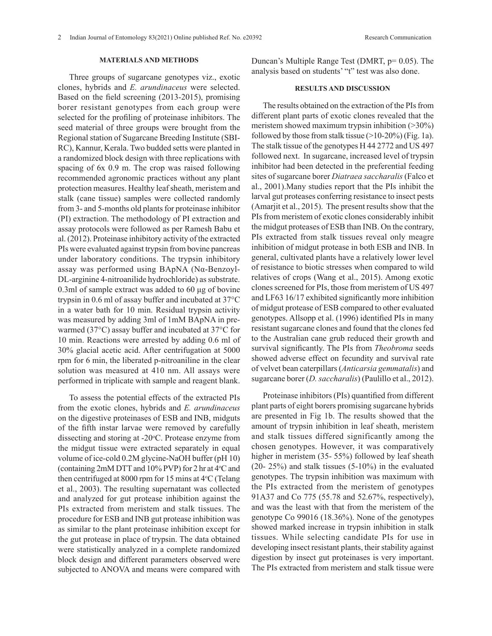## **MATERIALS AND METHODS**

Three groups of sugarcane genotypes viz., exotic clones, hybrids and *E. arundinaceus* were selected. Based on the field screening (2013-2015), promising borer resistant genotypes from each group were selected for the profiling of proteinase inhibitors. The seed material of three groups were brought from the Regional station of Sugarcane Breeding Institute (SBI-RC), Kannur, Kerala. Two budded setts were planted in a randomized block design with three replications with spacing of 6x 0.9 m. The crop was raised following recommended agronomic practices without any plant protection measures. Healthy leaf sheath, meristem and stalk (cane tissue) samples were collected randomly from 3- and 5-months old plants for proteinase inhibitor (PI) extraction. The methodology of PI extraction and assay protocols were followed as per Ramesh Babu et al. (2012). Proteinase inhibitory activity of the extracted PIs were evaluated against trypsin from bovine pancreas under laboratory conditions. The trypsin inhibitory assay was performed using BApNA (Nα-Benzoyl-DL-arginine 4-nitroanilide hydrochloride) as substrate. 0.3ml of sample extract was added to 60 μg of bovine trypsin in 0.6 ml of assay buffer and incubated at 37°C in a water bath for 10 min. Residual trypsin activity was measured by adding 3ml of 1mM BApNA in prewarmed (37°C) assay buffer and incubated at 37°C for 10 min. Reactions were arrested by adding 0.6 ml of 30% glacial acetic acid. After centrifugation at 5000 rpm for 6 min, the liberated p-nitroaniline in the clear solution was measured at 410 nm. All assays were performed in triplicate with sample and reagent blank.

To assess the potential effects of the extracted PIs from the exotic clones, hybrids and *E. arundinaceus* on the digestive proteinases of ESB and INB, midguts of the fifth instar larvae were removed by carefully dissecting and storing at -20°C. Protease enzyme from the midgut tissue were extracted separately in equal volume of ice-cold 0.2M glycine-NaOH buffer (pH 10) (containing 2mM DTT and 10% PVP) for 2 hr at 4°C and then centrifuged at 8000 rpm for 15 mins at  $4^{\circ}$ C (Telang et al., 2003). The resulting supernatant was collected and analyzed for gut protease inhibition against the PIs extracted from meristem and stalk tissues. The procedure for ESB and INB gut protease inhibition was as similar to the plant proteinase inhibition except for the gut protease in place of trypsin. The data obtained were statistically analyzed in a complete randomized block design and different parameters observed were subjected to ANOVA and means were compared with

Duncan's Multiple Range Test (DMRT, p= 0.05). The analysis based on students' "t" test was also done.

## **RESULTS AND DISCUSSION**

The results obtained on the extraction of the PIs from different plant parts of exotic clones revealed that the meristem showed maximum trypsin inhibition (>30%) followed by those from stalk tissue (>10-20%) (Fig. 1a). The stalk tissue of the genotypes H 44 2772 and US 497 followed next. In sugarcane, increased level of trypsin inhibitor had been detected in the preferential feeding sites of sugarcane borer *Diatraea saccharalis* (Falco et al., 2001).Many studies report that the PIs inhibit the larval gut proteases conferring resistance to insect pests (Amarjit et al., 2015). The present results show that the PIs from meristem of exotic clones considerably inhibit the midgut proteases of ESB than INB. On the contrary, PIs extracted from stalk tissues reveal only meagre inhibition of midgut protease in both ESB and INB. In general, cultivated plants have a relatively lower level of resistance to biotic stresses when compared to wild relatives of crops (Wang et al., 2015). Among exotic clones screened for PIs, those from meristem of US 497 and LF63 16/17 exhibited significantly more inhibition of midgut protease of ESB compared to other evaluated genotypes. Allsopp et al. (1996) identified PIs in many resistant sugarcane clones and found that the clones fed to the Australian cane grub reduced their growth and survival significantly. The PIs from *Theobroma* seeds showed adverse effect on fecundity and survival rate of velvet bean caterpillars (*Anticarsia gemmatalis*) and sugarcane borer (*D. saccharalis*) (Paulillo et al., 2012).

Proteinase inhibitors (PIs) quantified from different plant parts of eight borers promising sugarcane hybrids are presented in Fig 1b. The results showed that the amount of trypsin inhibition in leaf sheath, meristem and stalk tissues differed significantly among the chosen genotypes. However, it was comparatively higher in meristem (35- 55%) followed by leaf sheath (20- 25%) and stalk tissues (5-10%) in the evaluated genotypes. The trypsin inhibition was maximum with the PIs extracted from the meristem of genotypes 91A37 and Co 775 (55.78 and 52.67%, respectively), and was the least with that from the meristem of the genotype Co 99016 (18.36%). None of the genotypes showed marked increase in trypsin inhibition in stalk tissues. While selecting candidate PIs for use in developing insect resistant plants, their stability against digestion by insect gut proteinases is very important. The PIs extracted from meristem and stalk tissue were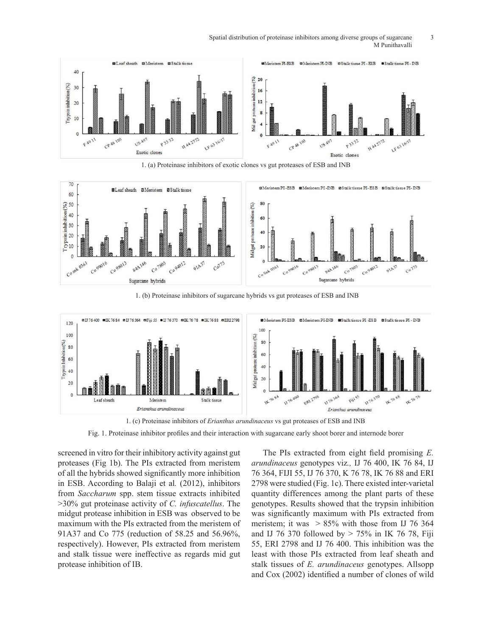Spatial distribution of proteinase inhibitors among diverse groups of sugarcane 3 M Punithavalli



1. (a) Proteinase inhibitors of exotic clones vs gut proteases of ESB and INB



1. (b) Proteinase inhibitors of sugarcane hybrids vs gut proteases of ESB and INB



1. (c) Proteinase inhibitors of *Erianthus arundinaceus* vs gut proteases of ESB and INB

Fig. 1. Proteinase inhibitor profiles and their interaction with sugarcane early shoot borer and internode borer

screened in vitro for their inhibitory activity against gut proteases (Fig 1b). The PIs extracted from meristem of all the hybrids showed significantly more inhibition in ESB. According to Balaji et al*.* (2012), inhibitors from *Saccharum* spp. stem tissue extracts inhibited >30% gut proteinase activity of *C. infuscatellus*. The midgut protease inhibition in ESB was observed to be maximum with the PIs extracted from the meristem of 91A37 and Co 775 (reduction of 58.25 and 56.96%, respectively). However, PIs extracted from meristem and stalk tissue were ineffective as regards mid gut protease inhibition of IB.

The PIs extracted from eight field promising *E. arundinaceus* genotypes viz*.,* IJ 76 400, IK 76 84, IJ 76 364, FIJI 55, IJ 76 370, K 76 78, IK 76 88 and ERI 2798 were studied (Fig. 1c). There existed inter-varietal quantity differences among the plant parts of these genotypes. Results showed that the trypsin inhibition was significantly maximum with PIs extracted from meristem; it was  $> 85\%$  with those from IJ 76 364 and IJ 76 370 followed by  $> 75\%$  in IK 76 78, Fiji 55, ERI 2798 and IJ 76 400. This inhibition was the least with those PIs extracted from leaf sheath and stalk tissues of *E. arundinaceus* genotypes. Allsopp and Cox (2002) identified a number of clones of wild